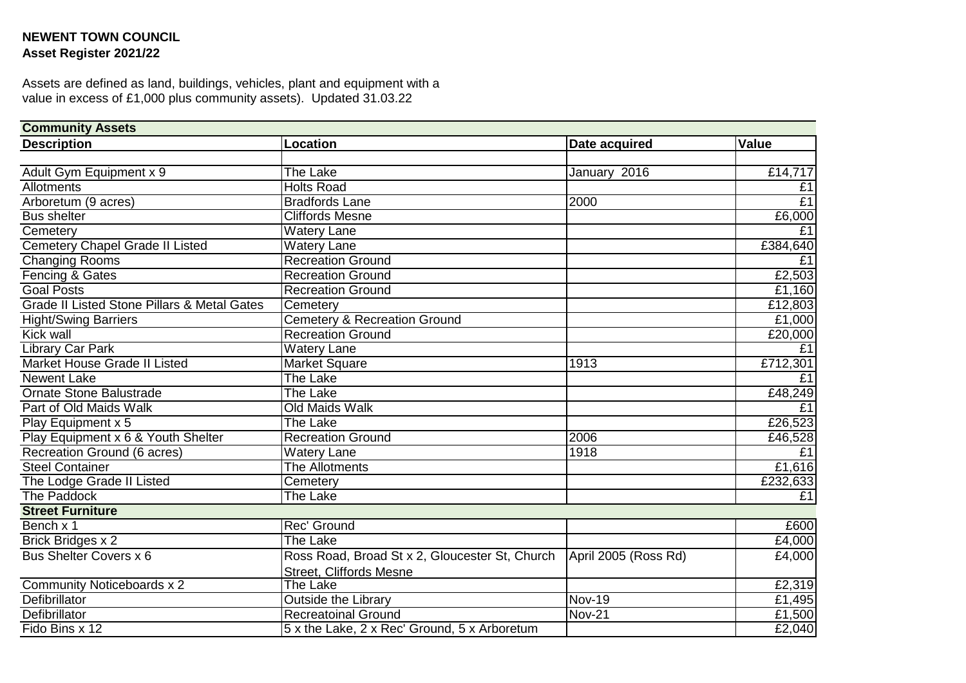## **NEWENT TOWN COUNCIL Asset Register 2021/22**

Assets are defined as land, buildings, vehicles, plant and equipment with a value in excess of £1,000 plus community assets). Updated 31.03.22

| <b>Community Assets</b>                                |                                                                       |                            |          |  |
|--------------------------------------------------------|-----------------------------------------------------------------------|----------------------------|----------|--|
| <b>Description</b>                                     | Location                                                              | Date acquired              | Value    |  |
|                                                        |                                                                       |                            |          |  |
| Adult Gym Equipment x 9                                | The Lake                                                              | January 2016               | £14,717  |  |
| Allotments                                             | <b>Holts Road</b>                                                     |                            | £1       |  |
| Arboretum (9 acres)                                    | <b>Bradfords Lane</b>                                                 | 2000                       | E1       |  |
| <b>Bus shelter</b>                                     | <b>Cliffords Mesne</b>                                                |                            | £6,000   |  |
| Cemetery                                               | <b>Watery Lane</b>                                                    |                            | £1       |  |
| <b>Cemetery Chapel Grade II Listed</b>                 | <b>Watery Lane</b>                                                    |                            | £384,640 |  |
| <b>Changing Rooms</b>                                  | <b>Recreation Ground</b>                                              |                            | E1       |  |
| Fencing & Gates                                        | <b>Recreation Ground</b>                                              |                            | £2,503   |  |
| <b>Goal Posts</b>                                      | <b>Recreation Ground</b>                                              |                            | £1,160   |  |
| <b>Grade II Listed Stone Pillars &amp; Metal Gates</b> | Cemetery                                                              |                            | £12,803  |  |
| <b>Hight/Swing Barriers</b>                            | <b>Cemetery &amp; Recreation Ground</b>                               |                            | £1,000   |  |
| <b>Kick wall</b>                                       | <b>Recreation Ground</b>                                              |                            | £20,000  |  |
| <b>Library Car Park</b>                                | <b>Watery Lane</b>                                                    |                            | £1       |  |
| Market House Grade II Listed                           | <b>Market Square</b>                                                  | 1913                       | £712,301 |  |
| <b>Newent Lake</b>                                     | The Lake                                                              |                            | E1       |  |
| <b>Ornate Stone Balustrade</b>                         | The Lake                                                              |                            | £48,249  |  |
| Part of Old Maids Walk                                 | <b>Old Maids Walk</b>                                                 |                            | £1       |  |
| Play Equipment x 5                                     | The Lake                                                              |                            | £26,523  |  |
| Play Equipment x 6 & Youth Shelter                     | <b>Recreation Ground</b>                                              | 2006                       | £46,528  |  |
| Recreation Ground (6 acres)                            | <b>Watery Lane</b>                                                    | 1918                       | £1       |  |
| <b>Steel Container</b>                                 | The Allotments                                                        |                            | £1,616   |  |
| The Lodge Grade II Listed                              | Cemetery                                                              |                            | £232,633 |  |
| <b>The Paddock</b>                                     | The Lake                                                              |                            | E1       |  |
| <b>Street Furniture</b>                                |                                                                       |                            |          |  |
| Bench x 1                                              | Rec' Ground                                                           |                            | £600     |  |
| <b>Brick Bridges x 2</b>                               | The Lake                                                              |                            | £4,000   |  |
| Bus Shelter Covers x 6                                 | Ross Road, Broad St x 2, Gloucester St, Church   April 2005 (Ross Rd) |                            | £4,000   |  |
|                                                        | <b>Street, Cliffords Mesne</b>                                        |                            |          |  |
| Community Noticeboards x 2                             | The Lake                                                              |                            | £2,319   |  |
| Defibrillator                                          | <b>Outside the Library</b>                                            | <b>Nov-19</b>              | £1,495   |  |
| <b>Defibrillator</b>                                   | <b>Recreatoinal Ground</b>                                            | $\overline{\text{Nov-21}}$ | £1,500   |  |
| Fido Bins x 12                                         | 5 x the Lake, 2 x Rec' Ground, 5 x Arboretum                          |                            | £2,040   |  |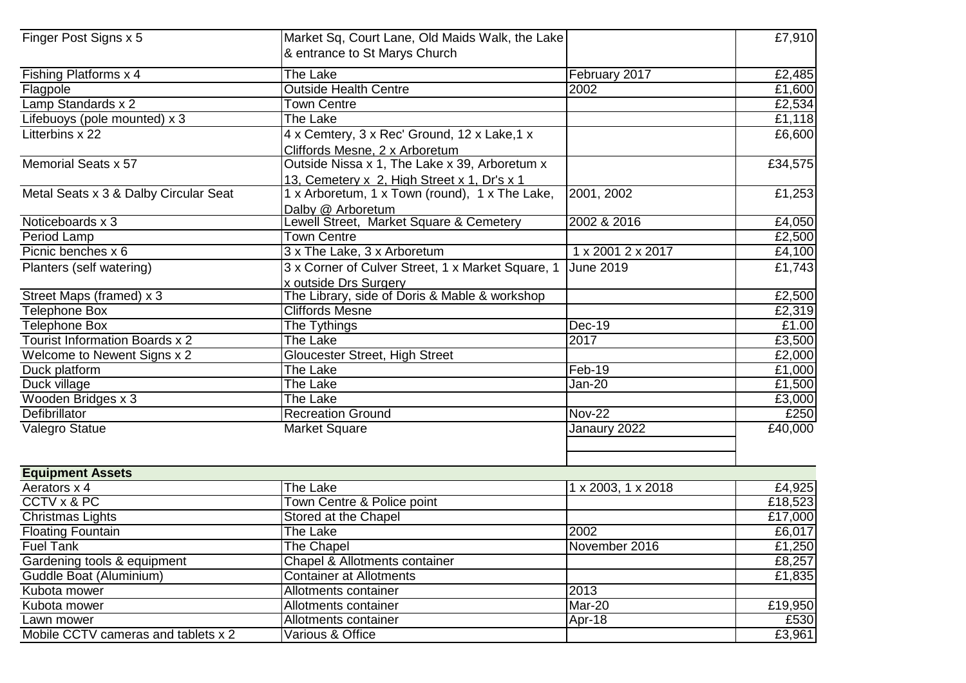| Finger Post Signs x 5                 | Market Sq, Court Lane, Old Maids Walk, the Lake<br>& entrance to St Marys Church |                    | £7,910  |
|---------------------------------------|----------------------------------------------------------------------------------|--------------------|---------|
| Fishing Platforms x 4                 | <b>The Lake</b>                                                                  | February 2017      | £2,485  |
| Flagpole                              | <b>Outside Health Centre</b>                                                     | 2002               | £1,600  |
| Lamp Standards x 2                    | <b>Town Centre</b>                                                               |                    | £2,534  |
| Lifebuoys (pole mounted) x 3          | The Lake                                                                         |                    | £1,118  |
| Litterbins x 22                       | 4 x Cemtery, 3 x Rec' Ground, 12 x Lake, 1 x                                     |                    | £6,600  |
|                                       | Cliffords Mesne, 2 x Arboretum                                                   |                    |         |
| Memorial Seats x 57                   | Outside Nissa x 1, The Lake x 39, Arboretum x                                    |                    | £34,575 |
|                                       | 13, Cemetery x 2, High Street x 1, Dr's x 1                                      |                    |         |
| Metal Seats x 3 & Dalby Circular Seat | 1 x Arboretum, 1 x Town (round), 1 x The Lake,                                   | 2001, 2002         | £1,253  |
|                                       | Dalby @ Arboretum                                                                |                    |         |
| Noticeboards x 3                      | Lewell Street, Market Square & Cemetery                                          | 2002 & 2016        | £4,050  |
| <b>Period Lamp</b>                    | <b>Town Centre</b>                                                               |                    | £2,500  |
| Picnic benches x 6                    | 3 x The Lake, 3 x Arboretum                                                      | 1 x 2001 2 x 2017  | £4,100  |
| Planters (self watering)              | 3 x Corner of Culver Street, 1 x Market Square, 1                                | <b>June 2019</b>   | £1,743  |
|                                       | x outside Drs Surgery                                                            |                    |         |
| Street Maps (framed) x 3              | The Library, side of Doris & Mable & workshop                                    |                    | £2,500  |
| <b>Telephone Box</b>                  | <b>Cliffords Mesne</b>                                                           |                    | £2,319  |
| <b>Telephone Box</b>                  | The Tythings                                                                     | Dec-19             | £1.00   |
| <b>Tourist Information Boards x 2</b> | The Lake                                                                         | 2017               | £3,500  |
| Welcome to Newent Signs x 2           | Gloucester Street, High Street                                                   |                    | £2,000  |
| Duck platform                         | The Lake                                                                         | Feb-19             | £1,000  |
| Duck village                          | The Lake                                                                         | Jan-20             | £1,500  |
| Wooden Bridges x 3                    | The Lake                                                                         |                    | £3,000  |
| <b>Defibrillator</b>                  | <b>Recreation Ground</b>                                                         | <b>Nov-22</b>      | £250    |
| Valegro Statue                        | <b>Market Square</b>                                                             | Janaury 2022       | £40,000 |
|                                       |                                                                                  |                    |         |
| <b>Equipment Assets</b>               |                                                                                  |                    |         |
| Aerators x 4                          | The Lake                                                                         | 1 x 2003, 1 x 2018 | £4,925  |
| CCTV x & PC                           | Town Centre & Police point                                                       |                    | £18,523 |
| <b>Christmas Lights</b>               | Stored at the Chapel                                                             |                    | £17,000 |
| <b>Floating Fountain</b>              | The Lake                                                                         | 2002               | £6,017  |
| <b>Fuel Tank</b>                      | The Chapel                                                                       | November 2016      | £1,250  |
| Gardening tools & equipment           | Chapel & Allotments container                                                    |                    | £8,257  |
| Guddle Boat (Aluminium)               | <b>Container at Allotments</b>                                                   |                    | £1,835  |
| Kubota mower                          | Allotments container                                                             | 2013               |         |
| Kubota mower                          | Allotments container                                                             | Mar-20             | £19,950 |
| Lawn mower                            | Allotments container                                                             | Apr-18             | £530    |
| Mobile CCTV cameras and tablets x 2   | Various & Office                                                                 |                    | £3,961  |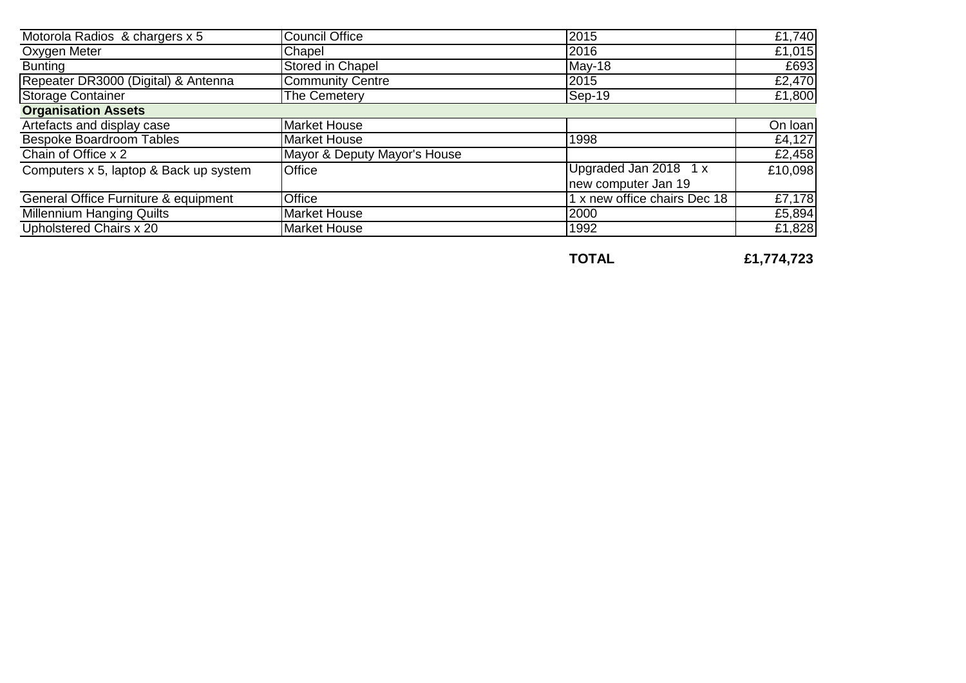| Motorola Radios & chargers x 5         | <b>Council Office</b>        | 2015                         | £1,740  |
|----------------------------------------|------------------------------|------------------------------|---------|
| Oxygen Meter                           | Chapel                       | 2016                         | £1,015  |
| <b>Bunting</b>                         | <b>Stored in Chapel</b>      | $May-18$                     | £693    |
| Repeater DR3000 (Digital) & Antenna    | <b>Community Centre</b>      | 2015                         | £2,470  |
| <b>Storage Container</b>               | The Cemetery                 | $Sep-19$                     | £1,800  |
| <b>Organisation Assets</b>             |                              |                              |         |
| Artefacts and display case             | <b>Market House</b>          |                              | On loan |
| <b>Bespoke Boardroom Tables</b>        | <b>Market House</b>          | 1998                         | £4,127  |
| Chain of Office x 2                    | Mayor & Deputy Mayor's House |                              | £2,458  |
| Computers x 5, laptop & Back up system | <b>Office</b>                | Upgraded Jan 2018 1 x        | £10,098 |
|                                        |                              | new computer Jan 19          |         |
| General Office Furniture & equipment   | Office                       | 1 x new office chairs Dec 18 | £7,178  |
| Millennium Hanging Quilts              | Market House                 | 2000                         | £5,894  |
| Upholstered Chairs x 20                | <b>Market House</b>          | 1992                         | £1,828  |

**TOTAL £1,774,723**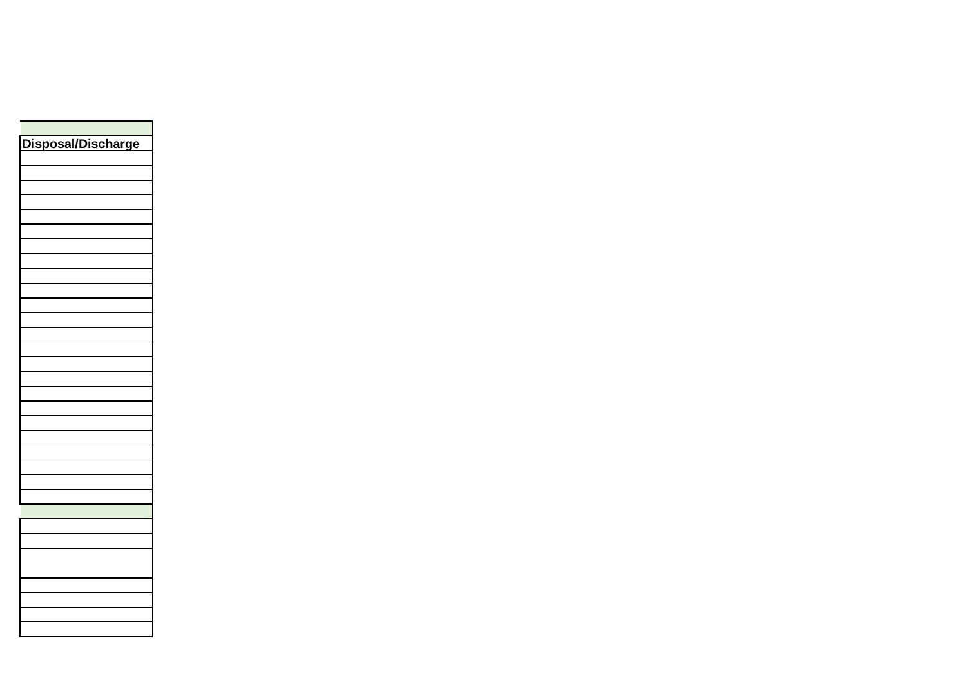